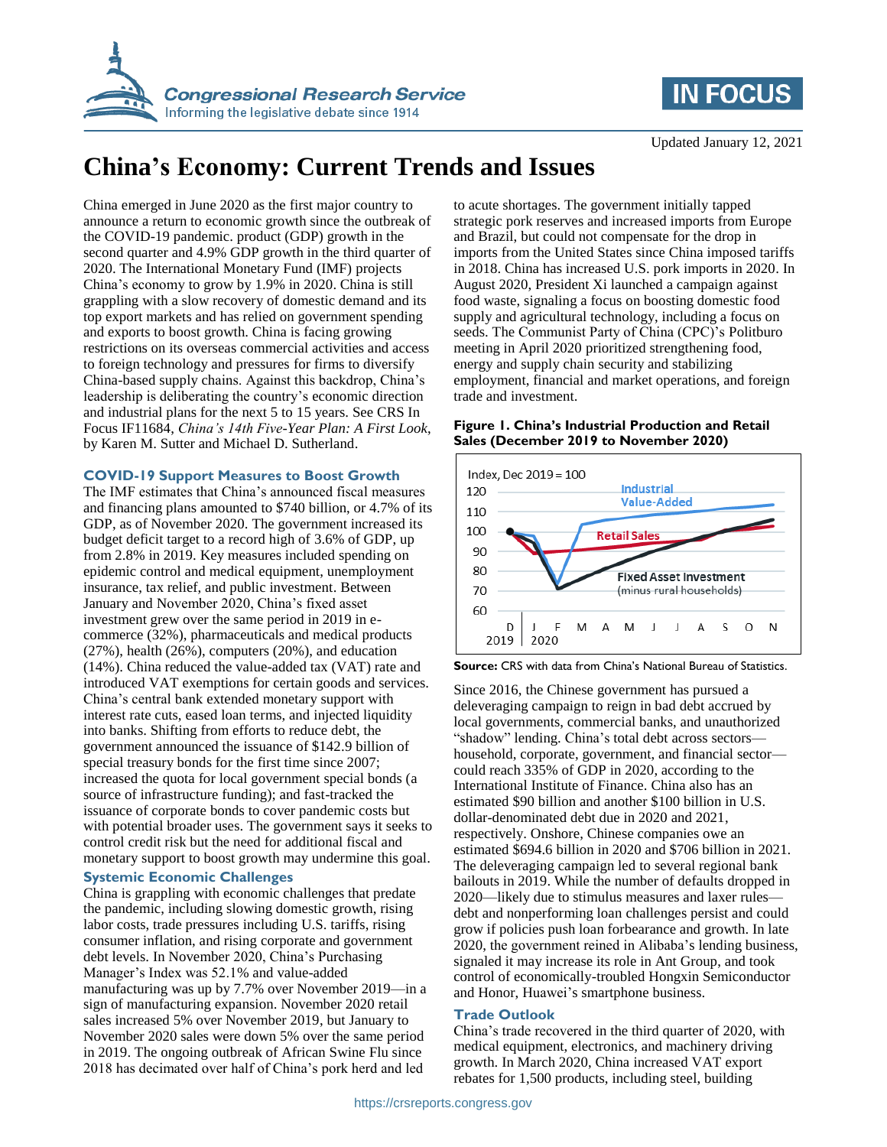



Updated January 12, 2021

# **China's Economy: Current Trends and Issues**

China emerged in June 2020 as the first major country to announce a return to economic growth since the outbreak of the COVID-19 pandemic. product (GDP) growth in the second quarter and 4.9% GDP growth in the third quarter of 2020. The International Monetary Fund (IMF) projects China's economy to grow by 1.9% in 2020. China is still grappling with a slow recovery of domestic demand and its top export markets and has relied on government spending and exports to boost growth. China is facing growing restrictions on its overseas commercial activities and access to foreign technology and pressures for firms to diversify China-based supply chains. Against this backdrop, China's leadership is deliberating the country's economic direction and industrial plans for the next 5 to 15 years. See CRS In Focus IF11684, *China's 14th Five-Year Plan: A First Look*, by Karen M. Sutter and Michael D. Sutherland.

# **COVID-19 Support Measures to Boost Growth**

The IMF estimates that China's announced fiscal measures and financing plans amounted to \$740 billion, or 4.7% of its GDP, as of November 2020. The government increased its budget deficit target to a record high of 3.6% of GDP, up from 2.8% in 2019. Key measures included spending on epidemic control and medical equipment, unemployment insurance, tax relief, and public investment. Between January and November 2020, China's fixed asset investment grew over the same period in 2019 in ecommerce (32%), pharmaceuticals and medical products (27%), health (26%), computers (20%), and education (14%). China reduced the value-added tax (VAT) rate and introduced VAT exemptions for certain goods and services. China's central bank extended monetary support with interest rate cuts, eased loan terms, and injected liquidity into banks. Shifting from efforts to reduce debt, the government announced the issuance of \$142.9 billion of special treasury bonds for the first time since 2007; increased the quota for local government special bonds (a source of infrastructure funding); and fast-tracked the issuance of corporate bonds to cover pandemic costs but with potential broader uses. The government says it seeks to control credit risk but the need for additional fiscal and monetary support to boost growth may undermine this goal.

# **Systemic Economic Challenges**

China is grappling with economic challenges that predate the pandemic, including slowing domestic growth, rising labor costs, trade pressures including U.S. tariffs, rising consumer inflation, and rising corporate and government debt levels. In November 2020, China's Purchasing Manager's Index was 52.1% and value-added manufacturing was up by 7.7% over November 2019—in a sign of manufacturing expansion. November 2020 retail sales increased 5% over November 2019, but January to November 2020 sales were down 5% over the same period in 2019. The ongoing outbreak of African Swine Flu since 2018 has decimated over half of China's pork herd and led

to acute shortages. The government initially tapped strategic pork reserves and increased imports from Europe and Brazil, but could not compensate for the drop in imports from the United States since China imposed tariffs in 2018. China has increased U.S. pork imports in 2020. In August 2020, President Xi launched a campaign against food waste, signaling a focus on boosting domestic food supply and agricultural technology, including a focus on seeds. The Communist Party of China (CPC)'s Politburo meeting in April 2020 prioritized strengthening food, energy and supply chain security and stabilizing employment, financial and market operations, and foreign trade and investment.

### **Figure 1. China's Industrial Production and Retail Sales (December 2019 to November 2020)**



**Source:** CRS with data from China's National Bureau of Statistics.

Since 2016, the Chinese government has pursued a deleveraging campaign to reign in bad debt accrued by local governments, commercial banks, and unauthorized "shadow" lending. China's total debt across sectors household, corporate, government, and financial sector could reach 335% of GDP in 2020, according to the International Institute of Finance. China also has an estimated \$90 billion and another \$100 billion in U.S. dollar-denominated debt due in 2020 and 2021, respectively. Onshore, Chinese companies owe an estimated \$694.6 billion in 2020 and \$706 billion in 2021. The deleveraging campaign led to several regional bank bailouts in 2019. While the number of defaults dropped in 2020—likely due to stimulus measures and laxer rules debt and nonperforming loan challenges persist and could grow if policies push loan forbearance and growth. In late 2020, the government reined in Alibaba's lending business, signaled it may increase its role in Ant Group, and took control of economically-troubled Hongxin Semiconductor and Honor, Huawei's smartphone business.

## **Trade Outlook**

China's trade recovered in the third quarter of 2020, with medical equipment, electronics, and machinery driving growth. In March 2020, China increased VAT export rebates for 1,500 products, including steel, building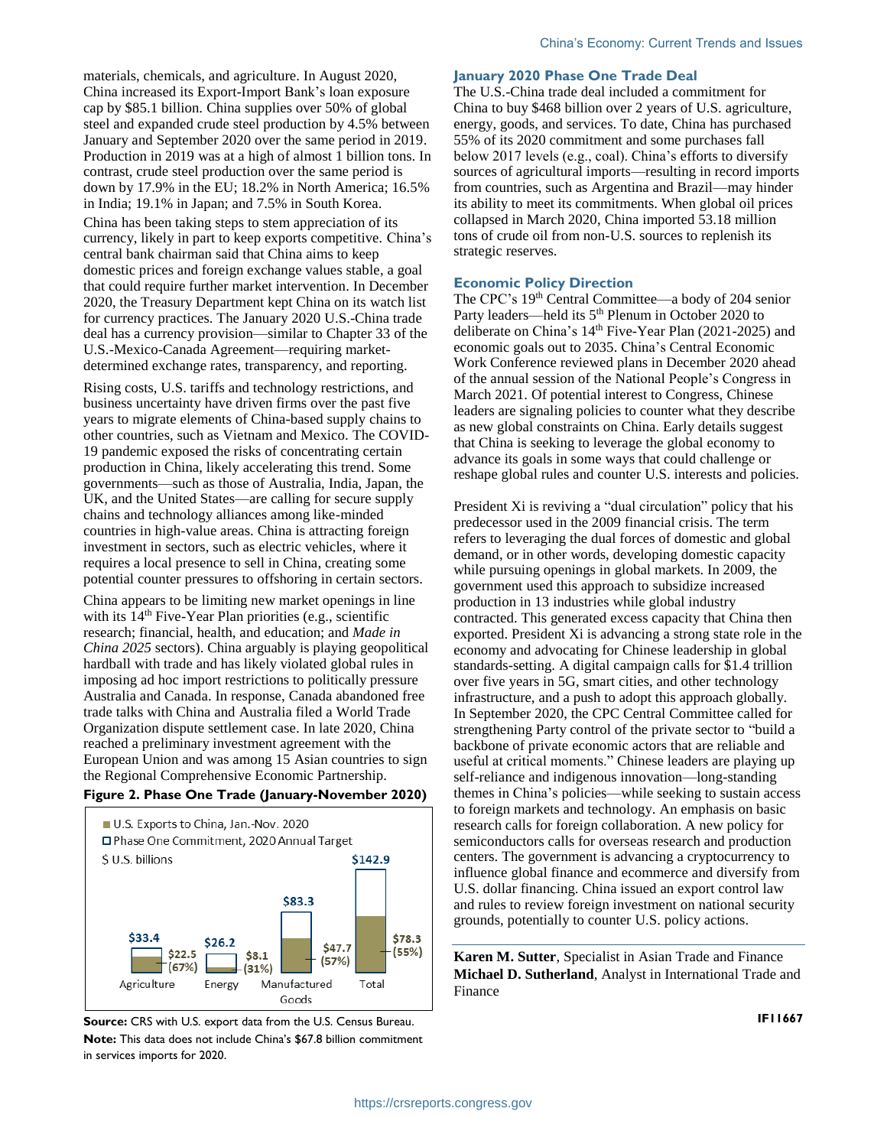materials, chemicals, and agriculture. In August 2020, China increased its Export-Import Bank's loan exposure cap by \$85.1 billion. China supplies over 50% of global steel and expanded crude steel production by 4.5% between January and September 2020 over the same period in 2019. Production in 2019 was at a high of almost 1 billion tons. In contrast, crude steel production over the same period is down by 17.9% in the EU; 18.2% in North America; 16.5% in India; 19.1% in Japan; and 7.5% in South Korea. China has been taking steps to stem appreciation of its currency, likely in part to keep exports competitive. China's central bank chairman said that China aims to keep domestic prices and foreign exchange values stable, a goal that could require further market intervention. In December 2020, the Treasury Department kept China on its watch list for currency practices. The January 2020 U.S.-China trade deal has a currency provision—similar to Chapter 33 of the U.S.-Mexico-Canada Agreement—requiring marketdetermined exchange rates, transparency, and reporting.

Rising costs, U.S. tariffs and technology restrictions, and business uncertainty have driven firms over the past five years to migrate elements of China-based supply chains to other countries, such as Vietnam and Mexico. The COVID-19 pandemic exposed the risks of concentrating certain production in China, likely accelerating this trend. Some governments—such as those of Australia, India, Japan, the UK, and the United States—are calling for secure supply chains and technology alliances among like-minded countries in high-value areas. China is attracting foreign investment in sectors, such as electric vehicles, where it requires a local presence to sell in China, creating some potential counter pressures to offshoring in certain sectors.

China appears to be limiting new market openings in line with its 14<sup>th</sup> Five-Year Plan priorities (e.g., scientific research; financial, health, and education; and *Made in China 2025* sectors). China arguably is playing geopolitical hardball with trade and has likely violated global rules in imposing ad hoc import restrictions to politically pressure Australia and Canada. In response, Canada abandoned free trade talks with China and Australia filed a World Trade Organization dispute settlement case. In late 2020, China reached a preliminary investment agreement with the European Union and was among 15 Asian countries to sign the Regional Comprehensive Economic Partnership.

#### **Figure 2. Phase One Trade (January-November 2020)**



**Source:** CRS with U.S. export data from the U.S. Census Bureau. **Note:** This data does not include China's \$67.8 billion commitment in services imports for 2020.

#### **January 2020 Phase One Trade Deal**

The U.S.-China trade deal included a commitment for China to buy \$468 billion over 2 years of U.S. agriculture, energy, goods, and services. To date, China has purchased 55% of its 2020 commitment and some purchases fall below 2017 levels (e.g., coal). China's efforts to diversify sources of agricultural imports—resulting in record imports from countries, such as Argentina and Brazil—may hinder its ability to meet its commitments. When global oil prices collapsed in March 2020, China imported 53.18 million tons of crude oil from non-U.S. sources to replenish its strategic reserves.

#### **Economic Policy Direction**

The CPC's 19<sup>th</sup> Central Committee—a body of 204 senior Party leaders—held its 5<sup>th</sup> Plenum in October 2020 to deliberate on China's 14<sup>th</sup> Five-Year Plan (2021-2025) and economic goals out to 2035. China's Central Economic Work Conference reviewed plans in December 2020 ahead of the annual session of the National People's Congress in March 2021. Of potential interest to Congress, Chinese leaders are signaling policies to counter what they describe as new global constraints on China. Early details suggest that China is seeking to leverage the global economy to advance its goals in some ways that could challenge or reshape global rules and counter U.S. interests and policies.

President Xi is reviving a "dual circulation" policy that his predecessor used in the 2009 financial crisis. The term refers to leveraging the dual forces of domestic and global demand, or in other words, developing domestic capacity while pursuing openings in global markets. In 2009, the government used this approach to subsidize increased production in 13 industries while global industry contracted. This generated excess capacity that China then exported. President Xi is advancing a strong state role in the economy and advocating for Chinese leadership in global standards-setting. A digital campaign calls for \$1.4 trillion over five years in 5G, smart cities, and other technology infrastructure, and a push to adopt this approach globally. In September 2020, the CPC Central Committee called for strengthening Party control of the private sector to "build a backbone of private economic actors that are reliable and useful at critical moments." Chinese leaders are playing up self-reliance and indigenous innovation—long-standing themes in China's policies—while seeking to sustain access to foreign markets and technology. An emphasis on basic research calls for foreign collaboration. A new policy for semiconductors calls for overseas research and production centers. The government is advancing a cryptocurrency to influence global finance and ecommerce and diversify from U.S. dollar financing. China issued an export control law and rules to review foreign investment on national security grounds, potentially to counter U.S. policy actions.

**Karen M. Sutter**, Specialist in Asian Trade and Finance **Michael D. Sutherland**, Analyst in International Trade and Finance